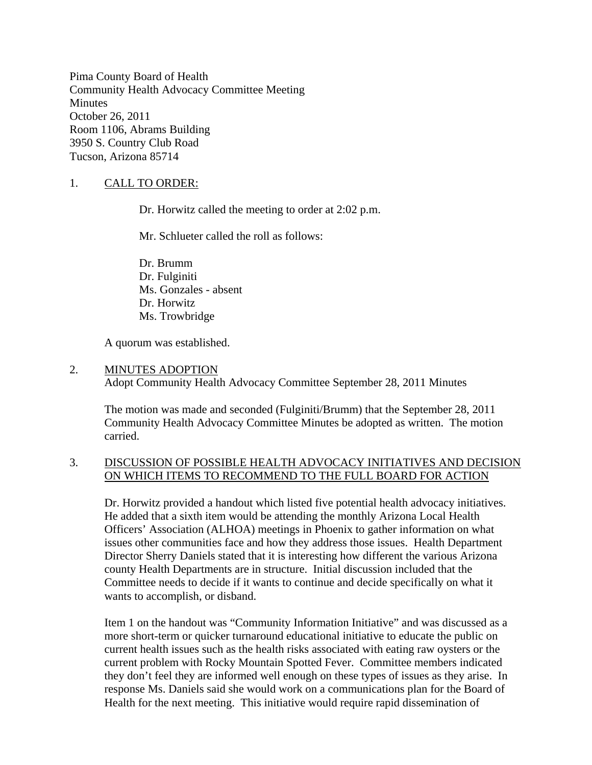Pima County Board of Health Community Health Advocacy Committee Meeting **Minutes** October 26, 2011 Room 1106, Abrams Building 3950 S. Country Club Road Tucson, Arizona 85714

## 1. CALL TO ORDER:

Dr. Horwitz called the meeting to order at 2:02 p.m.

Mr. Schlueter called the roll as follows:

Dr. Brumm Dr. Fulginiti Ms. Gonzales - absent Dr. Horwitz Ms. Trowbridge

A quorum was established.

#### 2. MINUTES ADOPTION

Adopt Community Health Advocacy Committee September 28, 2011 Minutes

The motion was made and seconded (Fulginiti/Brumm) that the September 28, 2011 Community Health Advocacy Committee Minutes be adopted as written. The motion carried.

### 3. DISCUSSION OF POSSIBLE HEALTH ADVOCACY INITIATIVES AND DECISION ON WHICH ITEMS TO RECOMMEND TO THE FULL BOARD FOR ACTION

Dr. Horwitz provided a handout which listed five potential health advocacy initiatives. He added that a sixth item would be attending the monthly Arizona Local Health Officers' Association (ALHOA) meetings in Phoenix to gather information on what issues other communities face and how they address those issues. Health Department Director Sherry Daniels stated that it is interesting how different the various Arizona county Health Departments are in structure. Initial discussion included that the Committee needs to decide if it wants to continue and decide specifically on what it wants to accomplish, or disband.

Item 1 on the handout was "Community Information Initiative" and was discussed as a more short-term or quicker turnaround educational initiative to educate the public on current health issues such as the health risks associated with eating raw oysters or the current problem with Rocky Mountain Spotted Fever. Committee members indicated they don't feel they are informed well enough on these types of issues as they arise. In response Ms. Daniels said she would work on a communications plan for the Board of Health for the next meeting. This initiative would require rapid dissemination of